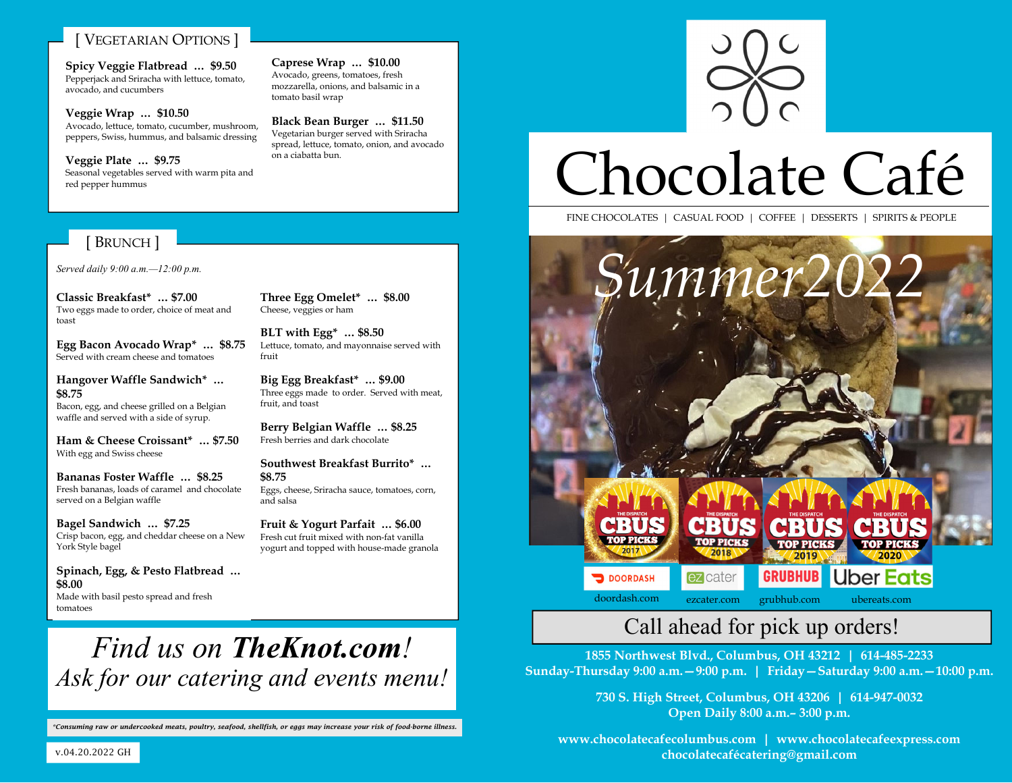#### **VEGETARIAN OPTIONS**

**Spicy Veggie Flatbread … \$9.50**  Pepperjack and Sriracha with lettuce, tomato, avocado, and cucumbers

**Veggie Wrap … \$10.50**  Avocado, lettuce, tomato, cucumber, mushroom, peppers, Swiss, hummus, and balsamic dressing

**Veggie Plate … \$9.75**  Seasonal vegetables served with warm pita and red pepper hummus

#### [ BRUNCH ]

*Served daily 9:00 a.m.—12:00 p.m.* 

**Classic Breakfast\* … \$7.00**  Two eggs made to order, choice of meat and toast

**Egg Bacon Avocado Wrap\* … \$8.75**  Served with cream cheese and tomatoes

**Hangover Waffle Sandwich\* … \$8.75**  Bacon, egg, and cheese grilled on a Belgian waffle and served with a side of syrup.

**Ham & Cheese Croissant\* … \$7.50**  With egg and Swiss cheese

**Bananas Foster Waffle … \$8.25**  Fresh bananas, loads of caramel and chocolate served on a Belgian waffle

**Bagel Sandwich … \$7.25** Crisp bacon, egg, and cheddar cheese on a New York Style bagel

**Spinach, Egg, & Pesto Flatbread … \$8.00** Made with basil pesto spread and fresh tomatoes

**Three Egg Omelet\* … \$8.00**  Cheese, veggies or ham

**Caprese Wrap … \$10.00**  Avocado, greens, tomatoes, fresh mozzarella, onions, and balsamic in a

**Black Bean Burger … \$11.50**  Vegetarian burger served with Sriracha spread, lettuce, tomato, onion, and avocado

tomato basil wrap

on a ciabatta bun.

**BLT with Egg\* … \$8.50**  Lettuce, tomato, and mayonnaise served with fruit

**Big Egg Breakfast\* … \$9.00**  Three eggs made to order. Served with meat, fruit, and toast

**Berry Belgian Waffle … \$8.25**  Fresh berries and dark chocolate

**Southwest Breakfast Burrito\* … \$8.75**  Eggs, cheese, Sriracha sauce, tomatoes, corn, and salsa

**Fruit & Yogurt Parfait … \$6.00** Fresh cut fruit mixed with non-fat vanilla yogurt and topped with house-made granola



# Chocolate Café

FINE CHOCOLATES | CASUAL FOOD | COFFEE | DESSERTS | SPIRITS & PEOPLE



### Call ahead for pick up orders!

**1855 Northwest Blvd., Columbus, OH 43212 | 614-485-2233 Sunday-Thursday 9:00 a.m.—9:00 p.m. | Friday—Saturday 9:00 a.m.—10:00 p.m.** 

> **730 S. High Street, Columbus, OH 43206 | 614-947-0032 Open Daily 8:00 a.m.– 3:00 p.m.**

**www.chocolatecafecolumbus.com | www.chocolatecafeexpress.com chocolatecafécatering@gmail.com** 

## *Find us on TheKnot.com! Ask for our catering and events menu!*

*\*Consuming raw or undercooked meats, poultry, seafood, shellfish, or eggs may increase your risk of food-borne illness.* 

v.04.20.2022 GH